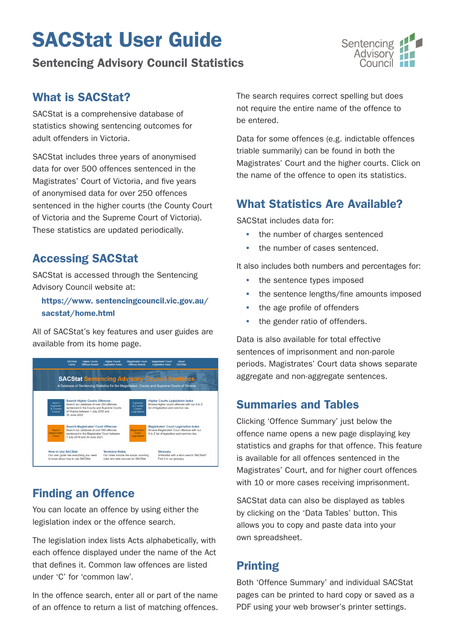# SACStat User Guide

### Sentencing Advisory Council Statistics



#### What is SACStat?

SACStat is a comprehensive database of statistics showing sentencing outcomes for adult offenders in Victoria.

SACStat includes three years of anonymised data for over 500 offences sentenced in the Magistrates' Court of Victoria, and five years of anonymised data for over 250 offences sentenced in the higher courts (the County Court of Victoria and the Supreme Court of Victoria). These statistics are updated periodically.

#### Accessing SACStat

SACStat is accessed through the Sentencing Advisory Council website at:

#### [https://www. sentencingcouncil.vic.gov.au/](https://www.sentencingcouncil.vic.gov.au/sacstat/home.html) [sacstat/home.html](https://www.sentencingcouncil.vic.gov.au/sacstat/home.html)

All of SACStat's key features and user guides are available from its home page.



#### Finding an Offence

You can locate an offence by using either the legislation index or the offence search.

The legislation index lists Acts alphabetically, with each offence displayed under the name of the Act that defines it. Common law offences are listed under 'C' for 'common law'.

In the offence search, enter all or part of the name of an offence to return a list of matching offences. The search requires correct spelling but does not require the entire name of the offence to be entered.

Data for some offences (e.g. indictable offences triable summarily) can be found in both the Magistrates' Court and the higher courts. Click on the name of the offence to open its statistics.

### What Statistics Are Available?

SACStat includes data for:

- the number of charges sentenced
- the number of cases sentenced.

It also includes both numbers and percentages for:

- the sentence types imposed
- the sentence lengths/fine amounts imposed
- the age profile of offenders
- the gender ratio of offenders.

Data is also available for total effective sentences of imprisonment and non-parole periods. Magistrates' Court data shows separate aggregate and non-aggregate sentences.

#### Summaries and Tables

Clicking 'Offence Summary' just below the offence name opens a new page displaying key statistics and graphs for that offence. This feature is available for all offences sentenced in the Magistrates' Court, and for higher court offences with 10 or more cases receiving imprisonment.

SACStat data can also be displayed as tables by clicking on the 'Data Tables' button. This allows you to copy and paste data into your own spreadsheet.

## Printing

Both 'Offence Summary' and individual SACStat pages can be printed to hard copy or saved as a PDF using your web browser's printer settings.